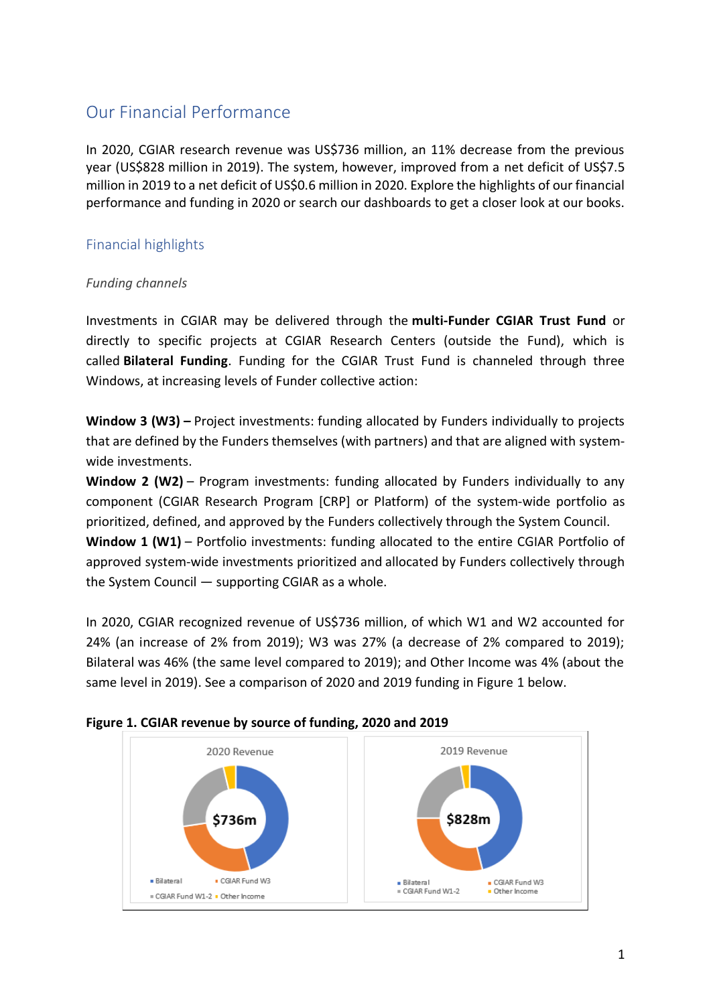## Our Financial Performance

In 2020, CGIAR research revenue was US\$736 million, an 11% decrease from the previous year (US\$828 million in 2019). The system, however, improved from a net deficit of US\$7.5 million in 2019 to a net deficit of US\$0.6 million in 2020. Explore the highlights of our financial performance and funding in 2020 or search our dashboards to get a closer look at our books.

## Financial highlights

## *Funding channels*

Investments in CGIAR may be delivered through the **multi-Funder CGIAR Trust Fund** or directly to specific projects at CGIAR Research Centers (outside the Fund), which is called **Bilateral Funding**. Funding for the CGIAR Trust Fund is channeled through three Windows, at increasing levels of Funder collective action:

Window 3 (W3) – Project investments: funding allocated by Funders individually to projects that are defined by the Funders themselves (with partners) and that are aligned with systemwide investments.

**Window 2 (W2)** – Program investments: funding allocated by Funders individually to any component (CGIAR Research Program [CRP] or Platform) of the system-wide portfolio as prioritized, defined, and approved by the Funders collectively through the System Council. **Window 1 (W1)** – Portfolio investments: funding allocated to the entire CGIAR Portfolio of

approved system-wide investments prioritized and allocated by Funders collectively through the System Council — supporting CGIAR as a whole.

In 2020, CGIAR recognized revenue of US\$736 million, of which W1 and W2 accounted for 24% (an increase of 2% from 2019); W3 was 27% (a decrease of 2% compared to 2019); Bilateral was 46% (the same level compared to 2019); and Other Income was 4% (about the same level in 2019). See a comparison of 2020 and 2019 funding in Figure 1 below.



## **Figure 1. CGIAR revenue by source of funding, 2020 and 2019**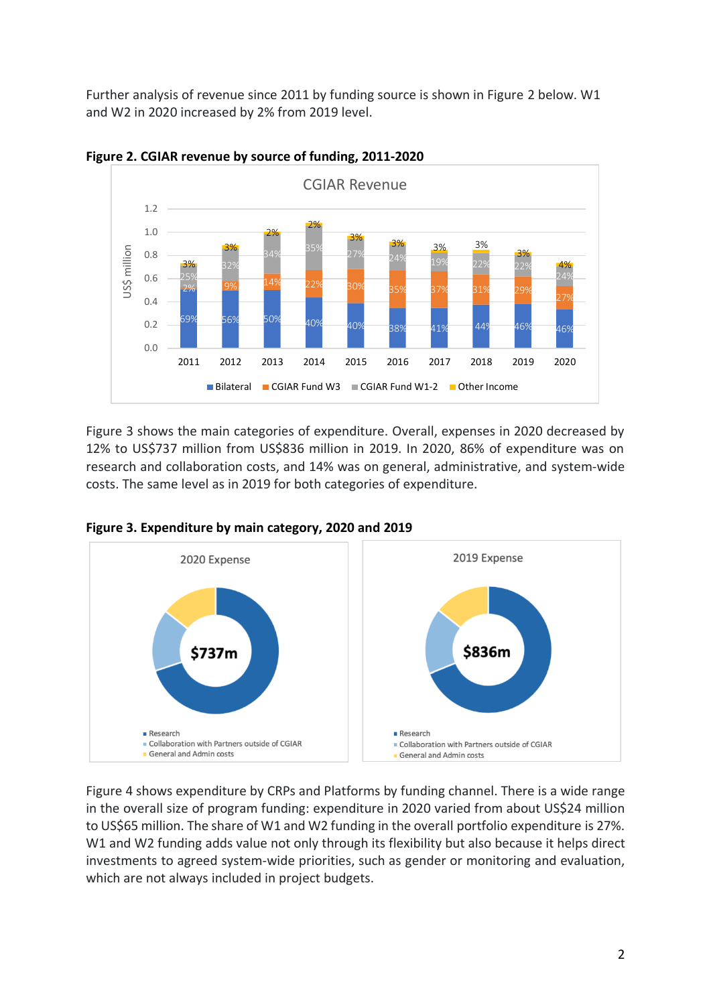Further analysis of revenue since 2011 by funding source is shown in Figure 2 below. W1 and W2 in 2020 increased by 2% from 2019 level.





Figure 3 shows the main categories of expenditure. Overall, expenses in 2020 decreased by 12% to US\$737 million from US\$836 million in 2019. In 2020, 86% of expenditure was on research and collaboration costs, and 14% was on general, administrative, and system-wide costs. The same level as in 2019 for both categories of expenditure.





Figure 4 shows expenditure by CRPs and Platforms by funding channel. There is a wide range in the overall size of program funding: expenditure in 2020 varied from about US\$24 million to US\$65 million. The share of W1 and W2 funding in the overall portfolio expenditure is 27%. W1 and W2 funding adds value not only through its flexibility but also because it helps direct investments to agreed system-wide priorities, such as gender or monitoring and evaluation, which are not always included in project budgets.